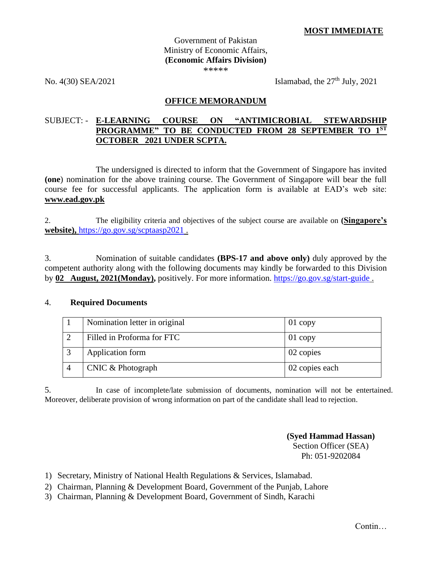### Government of Pakistan Ministry of Economic Affairs, **(Economic Affairs Division)** \*\*\*\*\*

No.  $4(30)$  SEA/2021 Islamabad, the  $27<sup>th</sup>$  July,  $2021$ 

### **OFFICE MEMORANDUM**

## SUBJECT: - **E-LEARNING COURSE ON "ANTIMICROBIAL STEWARDSHIP PROGRAMME" TO BE CONDUCTED FROM 28 SEPTEMBER TO 1ST OCTOBER 2021 UNDER SCPTA.**

The undersigned is directed to inform that the Government of Singapore has invited **(one**) nomination for the above training course. The Government of Singapore will bear the full course fee for successful applicants. The application form is available at EAD's web site: **[www.ead.gov.pk](http://www.ead.gov.pk/)**

2. The eligibility criteria and objectives of the subject course are available on **(Singapore's website),** <https://go.gov.sg/scptaasp2021> .

3. Nomination of suitable candidates **(BPS-17 and above only)** duly approved by the competent authority along with the following documents may kindly be forwarded to this Division by **02 August, 2021(Monday),** positively. For more information. <https://go.gov.sg/start-guide> .

### 4. **Required Documents**

| Nomination letter in original | $01$ copy      |
|-------------------------------|----------------|
| Filled in Proforma for FTC    | $01$ copy      |
| Application form              | 02 copies      |
| CNIC & Photograph             | 02 copies each |

5. In case of incomplete/late submission of documents, nomination will not be entertained. Moreover, deliberate provision of wrong information on part of the candidate shall lead to rejection.

> **(Syed Hammad Hassan)** Section Officer (SEA) Ph: 051-9202084

- 1) Secretary, Ministry of National Health Regulations & Services, Islamabad.
- 2) Chairman, Planning & Development Board, Government of the Punjab, Lahore
- 3) Chairman, Planning & Development Board, Government of Sindh, Karachi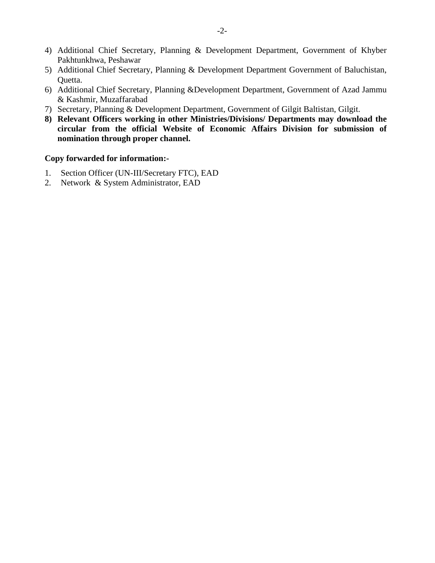- 4) Additional Chief Secretary, Planning & Development Department, Government of Khyber Pakhtunkhwa, Peshawar
- 5) Additional Chief Secretary, Planning & Development Department Government of Baluchistan, Quetta.
- 6) Additional Chief Secretary, Planning &Development Department, Government of Azad Jammu & Kashmir, Muzaffarabad
- 7) Secretary, Planning & Development Department, Government of Gilgit Baltistan, Gilgit.
- **8) Relevant Officers working in other Ministries/Divisions/ Departments may download the circular from the official Website of Economic Affairs Division for submission of nomination through proper channel.**

### **Copy forwarded for information:-**

- 1. Section Officer (UN-III/Secretary FTC), EAD
- 2. Network & System Administrator, EAD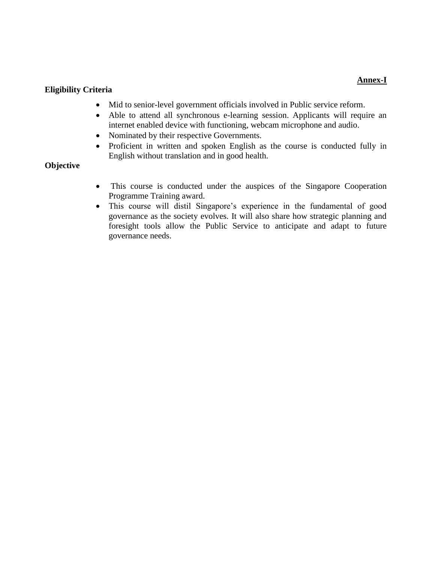## **Annex-I**

### **Eligibility Criteria**

- Mid to senior-level government officials involved in Public service reform.
- Able to attend all synchronous e-learning session. Applicants will require an internet enabled device with functioning, webcam microphone and audio.
- Nominated by their respective Governments.
- Proficient in written and spoken English as the course is conducted fully in English without translation and in good health.

## **Objective**

- This course is conducted under the auspices of the Singapore Cooperation Programme Training award.
- This course will distil Singapore's experience in the fundamental of good governance as the society evolves. It will also share how strategic planning and foresight tools allow the Public Service to anticipate and adapt to future governance needs.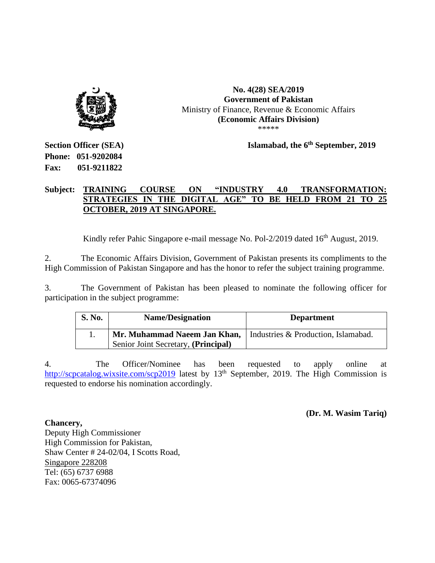

#### **No. 4(28) SEA/2019 Government of Pakistan** Ministry of Finance, Revenue & Economic Affairs **(Economic Affairs Division)** \*\*\*\*\*

 **Islamabad, the 6 th September, 2019** 

**Section Officer (SEA) Phone: 051-9202084 Fax: 051-9211822**

# **Subject: TRAINING COURSE ON "INDUSTRY 4.0 TRANSFORMATION: STRATEGIES IN THE DIGITAL AGE" TO BE HELD FROM 21 TO 25 OCTOBER, 2019 AT SINGAPORE.**

Kindly refer Pahic Singapore e-mail message No. Pol-2/2019 dated 16<sup>th</sup> August, 2019.

2. The Economic Affairs Division, Government of Pakistan presents its compliments to the High Commission of Pakistan Singapore and has the honor to refer the subject training programme.

3. The Government of Pakistan has been pleased to nominate the following officer for participation in the subject programme:

| <b>S. No.</b> | <b>Name/Designation</b>             | <b>Department</b>                   |
|---------------|-------------------------------------|-------------------------------------|
|               | Mr. Muhammad Naeem Jan Khan,        | Industries & Production, Islamabad. |
|               | Senior Joint Secretary, (Principal) |                                     |

4. The Officer/Nominee has been requested to apply online at <http://scpcatalog.wixsite.com/scp2019> latest by 13<sup>th</sup> September, 2019. The High Commission is requested to endorse his nomination accordingly.

**(Dr. M. Wasim Tariq)**

**Chancery,** Deputy High Commissioner High Commission for Pakistan, Shaw Center # 24-02/04, I Scotts Road, Singapore 228208 Tel: (65) 6737 6988 Fax: 0065-67374096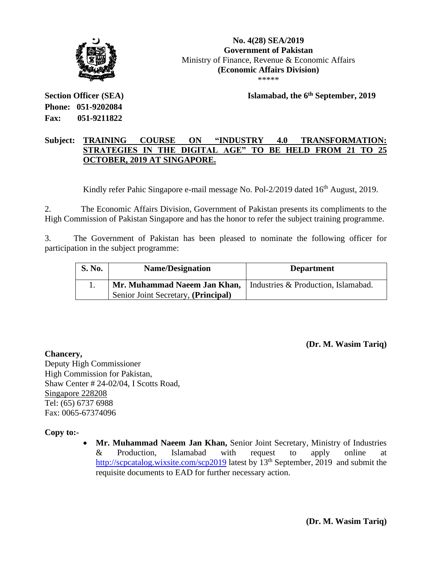

**No. 4(28) SEA/2019 Government of Pakistan** Ministry of Finance, Revenue & Economic Affairs **(Economic Affairs Division)** \*\*\*\*\*

 **Islamabad, the 6th September, 2019** 

**Section Officer (SEA) Phone: 051-9202084 Fax: 051-9211822**

## **Subject: TRAINING COURSE ON "INDUSTRY 4.0 TRANSFORMATION: STRATEGIES IN THE DIGITAL AGE" TO BE HELD FROM 21 TO 25 OCTOBER, 2019 AT SINGAPORE.**

Kindly refer Pahic Singapore e-mail message No. Pol-2/2019 dated 16<sup>th</sup> August, 2019.

2. The Economic Affairs Division, Government of Pakistan presents its compliments to the High Commission of Pakistan Singapore and has the honor to refer the subject training programme.

3. The Government of Pakistan has been pleased to nominate the following officer for participation in the subject programme:

| <b>S. No.</b> | <b>Name/Designation</b>                                            | <b>Department</b> |
|---------------|--------------------------------------------------------------------|-------------------|
|               | Mr. Muhammad Naeem Jan Khan,   Industries & Production, Islamabad. |                   |
|               | Senior Joint Secretary, (Principal)                                |                   |

**(Dr. M. Wasim Tariq)**

**Chancery,** Deputy High Commissioner High Commission for Pakistan, Shaw Center # 24-02/04, I Scotts Road, Singapore 228208 Tel: (65) 6737 6988 Fax: 0065-67374096

# **Copy to:-**

• **Mr. Muhammad Naeem Jan Khan,** Senior Joint Secretary, Ministry of Industries & Production, Islamabad with request to apply online at <http://scpcatalog.wixsite.com/scp2019> latest by 13<sup>th</sup> September, 2019 and submit the requisite documents to EAD for further necessary action.